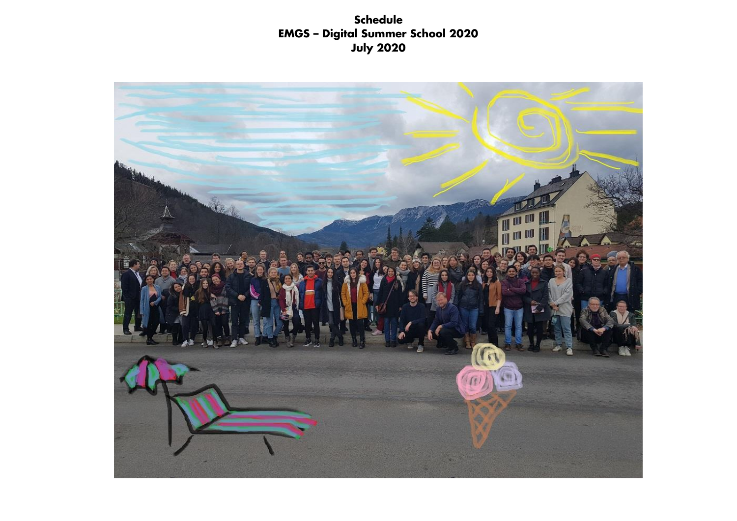**Schedule EMGS – Digital Summer School 2020 July 2020** 

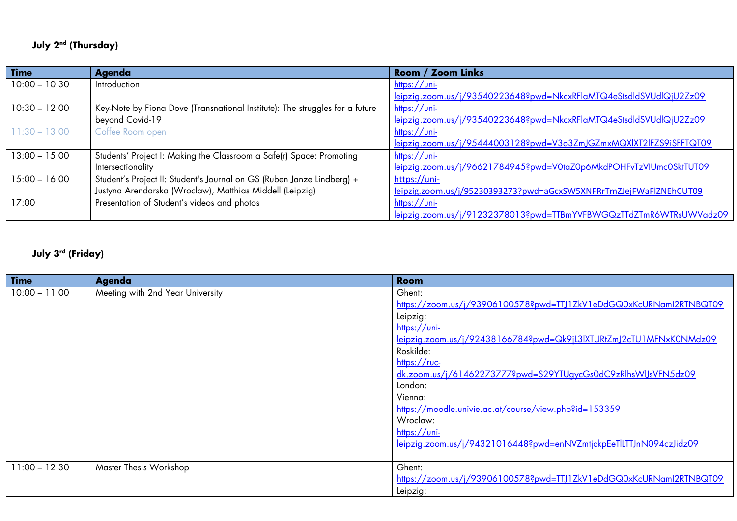| <b>Time</b>     | <b>Agenda</b>                                                                | Room / Zoom Links                                                  |
|-----------------|------------------------------------------------------------------------------|--------------------------------------------------------------------|
| $10:00 - 10:30$ | Introduction                                                                 | $https://uni-$                                                     |
|                 |                                                                              | leipzig.zoom.us/j/93540223648?pwd=NkcxRFlaMTQ4eStsdldSVUdlQjU2Zz09 |
| $10:30 - 12:00$ | Key-Note by Fiona Dove (Transnational Institute): The struggles for a future | https://uni-                                                       |
|                 | beyond Covid-19                                                              | leipzig.zoom.us/j/93540223648?pwd=NkcxRFlaMTQ4eStsdldSVUdlQjU2Zz09 |
| $11:30 - 13:00$ | Coffee Room open                                                             | https://uni-                                                       |
|                 |                                                                              | leipzig.zoom.us/j/95444003128?pwd=V3o3ZmJGZmxMQXlXT2lFZS9iSFFTQT09 |
| $13:00 - 15:00$ | Students' Project I: Making the Classroom a Safe(r) Space: Promoting         | $https://uni-$                                                     |
|                 | Intersectionality                                                            | leipzig.zoom.us/j/96621784945?pwd=V0taZ0p6MkdPOHFvTzVIUmc0SktTUT09 |
| $15:00 - 16:00$ | Student's Project II: Student's Journal on GS (Ruben Janze Lindberg) +       | https://uni-                                                       |
|                 | Justyna Arendarska (Wroclaw), Matthias Middell (Leipzig)                     | leipzig.zoom.us/j/95230393273?pwd=aGcxSW5XNFRrTmZJejFWaFlZNEhCUT09 |
| 17:00           | Presentation of Student's videos and photos                                  | $https://uni-$                                                     |
|                 |                                                                              | leipzig.zoom.us/j/91232378013?pwd=TTBmYVFBWGQzTTdZTmR6WTRsUWVadz09 |

## **July 3rd (Friday)**

| <b>Time</b>     | <b>Agenda</b>                    | <b>Room</b>                                                        |
|-----------------|----------------------------------|--------------------------------------------------------------------|
| $10:00 - 11:00$ | Meeting with 2nd Year University | Ghent:                                                             |
|                 |                                  | https://zoom.us/j/93906100578?pwd=TTJ1ZkV1eDdGQ0xKcURNamI2RTNBQT09 |
|                 |                                  | Leipzig:                                                           |
|                 |                                  | https://uni-                                                       |
|                 |                                  | leipzig.zoom.us/j/92438166784?pwd=Qk9jL3lXTURtZmJ2cTU1MFNxK0NMdz09 |
|                 |                                  | Roskilde:                                                          |
|                 |                                  | https://ruc-                                                       |
|                 |                                  | dk.zoom.us/j/61462273777?pwd=S29YTUgycGs0dC9zRlhsWlJsVFN5dz09      |
|                 |                                  | London:                                                            |
|                 |                                  | Vienna:                                                            |
|                 |                                  | https://moodle.univie.ac.at/course/view.php?id=153359              |
|                 |                                  | Wroclaw:                                                           |
|                 |                                  | https://uni-                                                       |
|                 |                                  | leipzig.zoom.us/j/94321016448?pwd=enNVZmtjckpEeTlLTTJnN094czJidz09 |
|                 |                                  |                                                                    |
| $11:00 - 12:30$ | <b>Master Thesis Workshop</b>    | Ghent:                                                             |
|                 |                                  | https://zoom.us/j/93906100578?pwd=TTJ1ZkV1eDdGQ0xKcURNamI2RTNBQT09 |
|                 |                                  | Leipzig:                                                           |